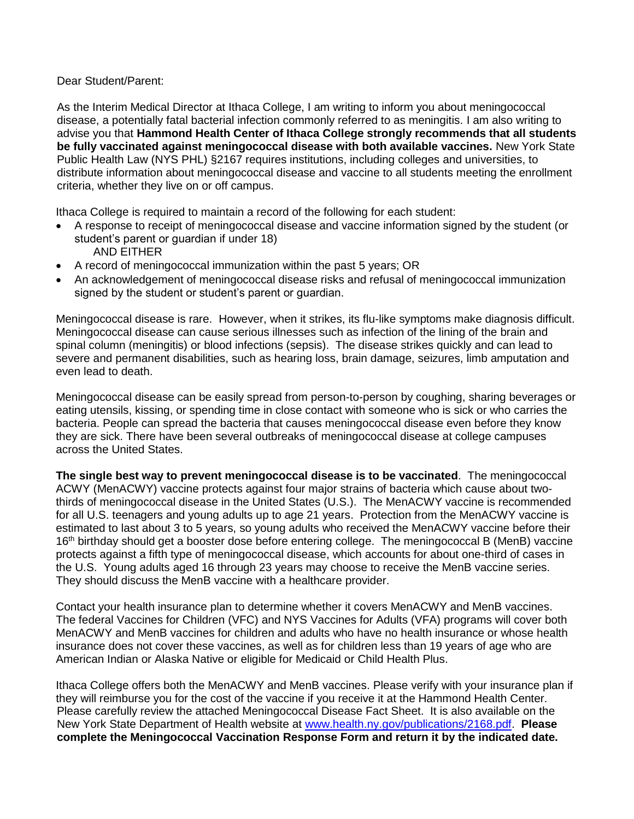## Dear Student/Parent:

As the Interim Medical Director at Ithaca College, I am writing to inform you about meningococcal disease, a potentially fatal bacterial infection commonly referred to as meningitis. I am also writing to advise you that **Hammond Health Center of Ithaca College strongly recommends that all students be fully vaccinated against meningococcal disease with both available vaccines.** New York State Public Health Law (NYS PHL) §2167 requires institutions, including colleges and universities, to distribute information about meningococcal disease and vaccine to all students meeting the enrollment criteria, whether they live on or off campus.

Ithaca College is required to maintain a record of the following for each student:

- A response to receipt of meningococcal disease and vaccine information signed by the student (or student's parent or guardian if under 18) AND EITHER
- A record of meningococcal immunization within the past 5 years; OR
- An acknowledgement of meningococcal disease risks and refusal of meningococcal immunization signed by the student or student's parent or guardian.

Meningococcal disease is rare. However, when it strikes, its flu-like symptoms make diagnosis difficult. Meningococcal disease can cause serious illnesses such as infection of the lining of the brain and spinal column (meningitis) or blood infections (sepsis). The disease strikes quickly and can lead to severe and permanent disabilities, such as hearing loss, brain damage, seizures, limb amputation and even lead to death.

Meningococcal disease can be easily spread from person-to-person by coughing, sharing beverages or eating utensils, kissing, or spending time in close contact with someone who is sick or who carries the bacteria. People can spread the bacteria that causes meningococcal disease even before they know they are sick. There have been several outbreaks of meningococcal disease at college campuses across the United States.

**The single best way to prevent meningococcal disease is to be vaccinated**. The meningococcal ACWY (MenACWY) vaccine protects against four major strains of bacteria which cause about twothirds of meningococcal disease in the United States (U.S.). The MenACWY vaccine is recommended for all U.S. teenagers and young adults up to age 21 years. Protection from the MenACWY vaccine is estimated to last about 3 to 5 years, so young adults who received the MenACWY vaccine before their 16<sup>th</sup> birthday should get a booster dose before entering college. The meningococcal B (MenB) vaccine protects against a fifth type of meningococcal disease, which accounts for about one-third of cases in the U.S. Young adults aged 16 through 23 years may choose to receive the MenB vaccine series. They should discuss the MenB vaccine with a healthcare provider.

Contact your health insurance plan to determine whether it covers MenACWY and MenB vaccines. The federal Vaccines for Children (VFC) and NYS Vaccines for Adults (VFA) programs will cover both MenACWY and MenB vaccines for children and adults who have no health insurance or whose health insurance does not cover these vaccines, as well as for children less than 19 years of age who are American Indian or Alaska Native or eligible for Medicaid or Child Health Plus.

Ithaca College offers both the MenACWY and MenB vaccines. Please verify with your insurance plan if they will reimburse you for the cost of the vaccine if you receive it at the Hammond Health Center. Please carefully review the attached Meningococcal Disease Fact Sheet. It is also available on the New York State Department of Health website at [www.health.ny.gov/publications/2168.pdf.](http://www.health.ny.gov/publications/2168.pdf) **Please complete the Meningococcal Vaccination Response Form and return it by the indicated date.**